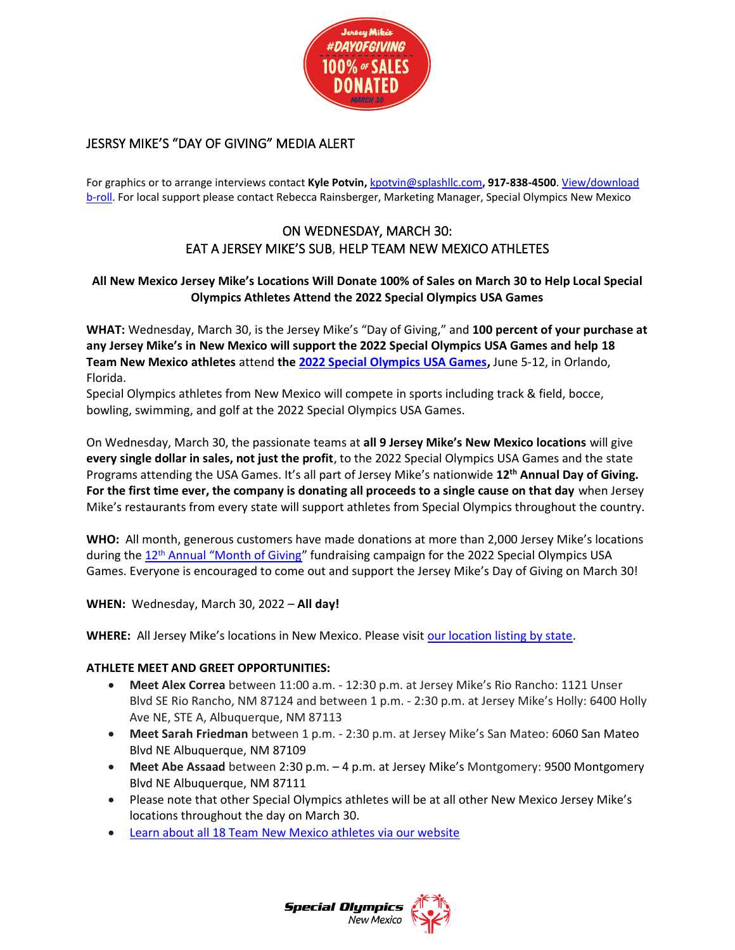

# JESRSY MIKE'S "DAY OF GIVING" MEDIA ALERT

For graphics or to arrange interviews contact **Kyle Potvin,** [kpotvin@splashllc.com](mailto:kpotvin@splashllc.com)**, 917-838-4500**. [View/download](https://www.dropbox.com/s/sh0cv4i9wkvg91s/2022%20Month%20of%20Giving%20B-roll%20.mp4?dl=0)  [b-roll.](https://www.dropbox.com/s/sh0cv4i9wkvg91s/2022%20Month%20of%20Giving%20B-roll%20.mp4?dl=0) For local support please contact Rebecca Rainsberger, Marketing Manager, Special Olympics New Mexico

# ON WEDNESDAY, MARCH 30: EAT A JERSEY MIKE'S SUB, HELP TEAM NEW MEXICO ATHLETES

## **All New Mexico Jersey Mike's Locations Will Donate 100% of Sales on March 30 to Help Local Special Olympics Athletes Attend the 2022 Special Olympics USA Games**

**WHAT:** Wednesday, March 30, is the Jersey Mike's "Day of Giving," and **100 percent of your purchase at any Jersey Mike's in New Mexico will support the 2022 Special Olympics USA Games and help 18 Team New Mexico athletes** attend **th[e 2022 Special Olympics USA Games,](https://www.2022specialolympicsusagames.org/)** June 5-12, in Orlando, Florida.

Special Olympics athletes from New Mexico will compete in sports including track & field, bocce, bowling, swimming, and golf at the 2022 Special Olympics USA Games.

On Wednesday, March 30, the passionate teams at **all 9 Jersey Mike's New Mexico locations** will give **every single dollar in sales, not just the profit**, to the 2022 Special Olympics USA Games and the state Programs attending the USA Games. It's all part of Jersey Mike's nationwide **12th Annual Day of Giving. For the first time ever, the company is donating all proceeds to a single cause on that day** when Jersey Mike's restaurants from every state will support athletes from Special Olympics throughout the country.

**WHO:** All month, generous customers have made donations at more than 2,000 Jersey Mike's locations during the 12<sup>th</sup> Annual ["Month of Giving"](https://www.jerseymikes.com/mog) fundraising campaign for the 2022 Special Olympics USA Games. Everyone is encouraged to come out and support the Jersey Mike's Day of Giving on March 30!

**WHEN:** Wednesday, March 30, 2022 – **All day!**

**WHERE:** All Jersey Mike's locations in New Mexico. Please visit [our location listing by state.](https://www.jerseymikes.com/locations)

### **ATHLETE MEET AND GREET OPPORTUNITIES:**

- **Meet Alex Correa** between 11:00 a.m. 12:30 p.m. at Jersey Mike's Rio Rancho: 1121 Unser Blvd SE Rio Rancho, NM 87124 and between 1 p.m. - 2:30 p.m. at Jersey Mike's Holly: 6400 Holly Ave NE, STE A, Albuquerque, NM 87113
- **Meet Sarah Friedman** between 1 p.m. 2:30 p.m. at Jersey Mike's San Mateo: 6060 San Mateo Blvd NE Albuquerque, NM 87109
- **Meet Abe Assaad** between 2:30 p.m. 4 p.m. at Jersey Mike's Montgomery: 9500 Montgomery Blvd NE Albuquerque, NM 87111
- Please note that other Special Olympics athletes will be at all other New Mexico Jersey Mike's locations throughout the day on March 30.
- Learn about all 18 Team New Mexico [athletes](https://sonm.org/about/2022usagames/) via our website